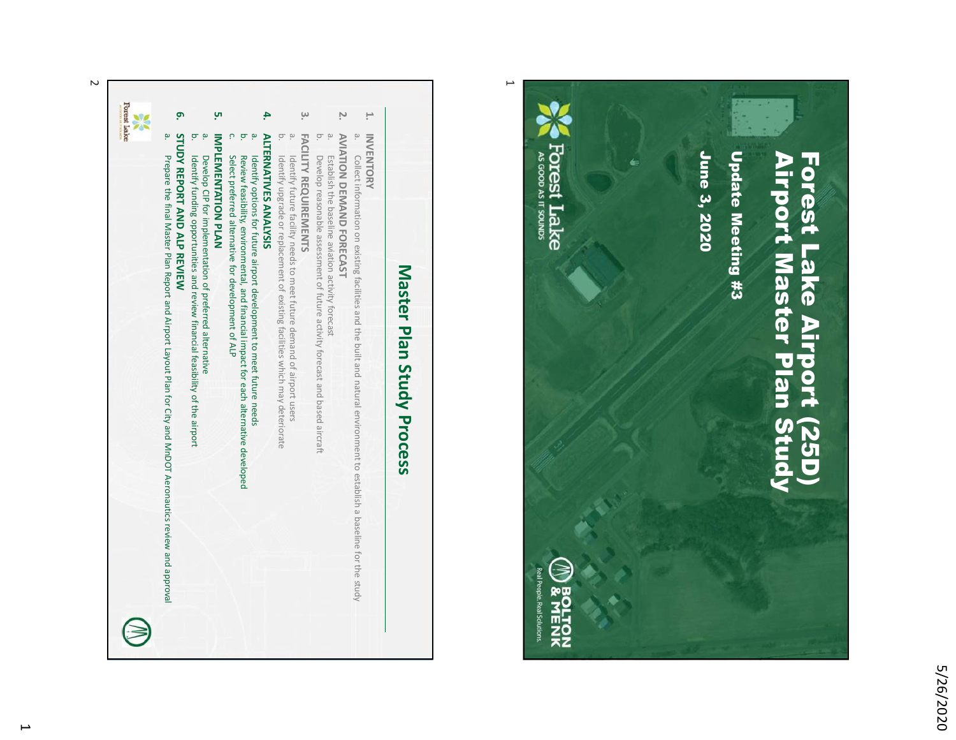

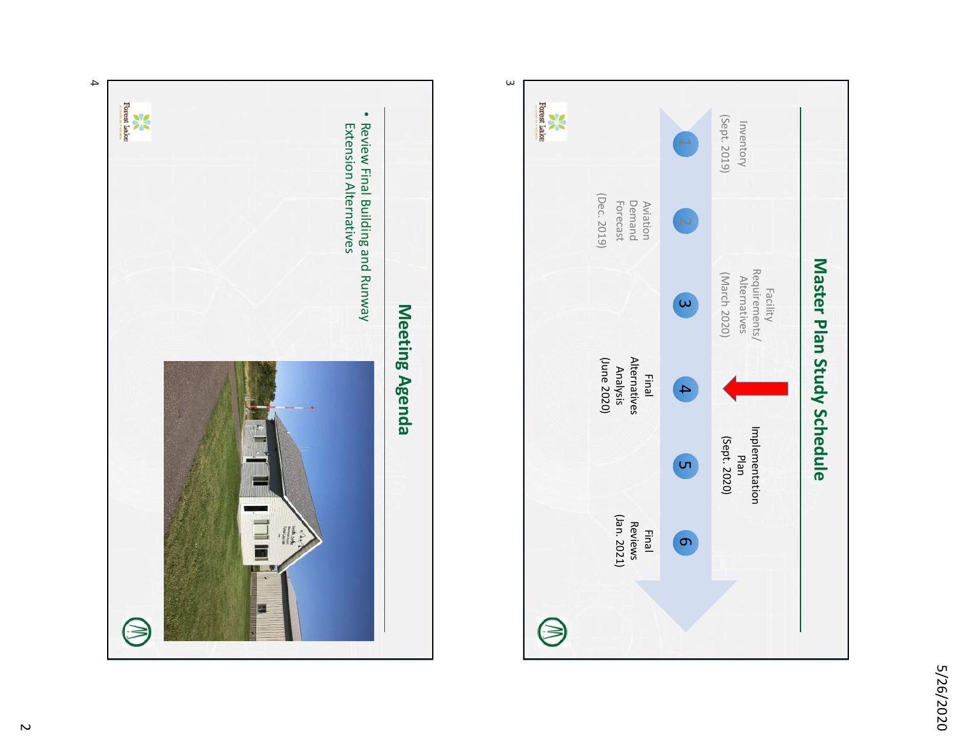





4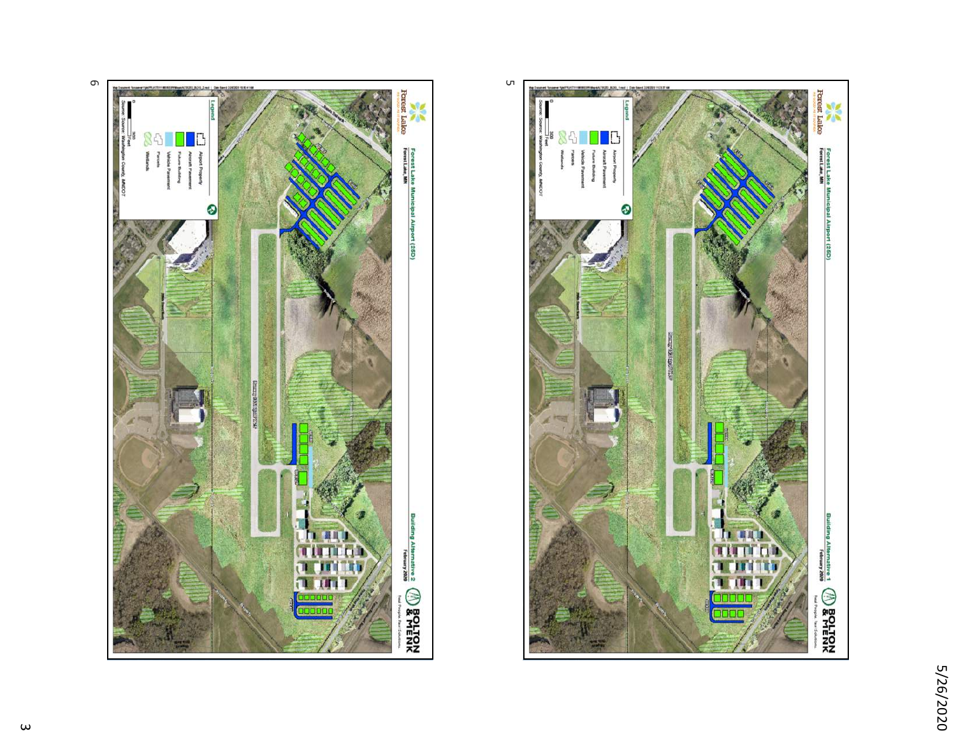

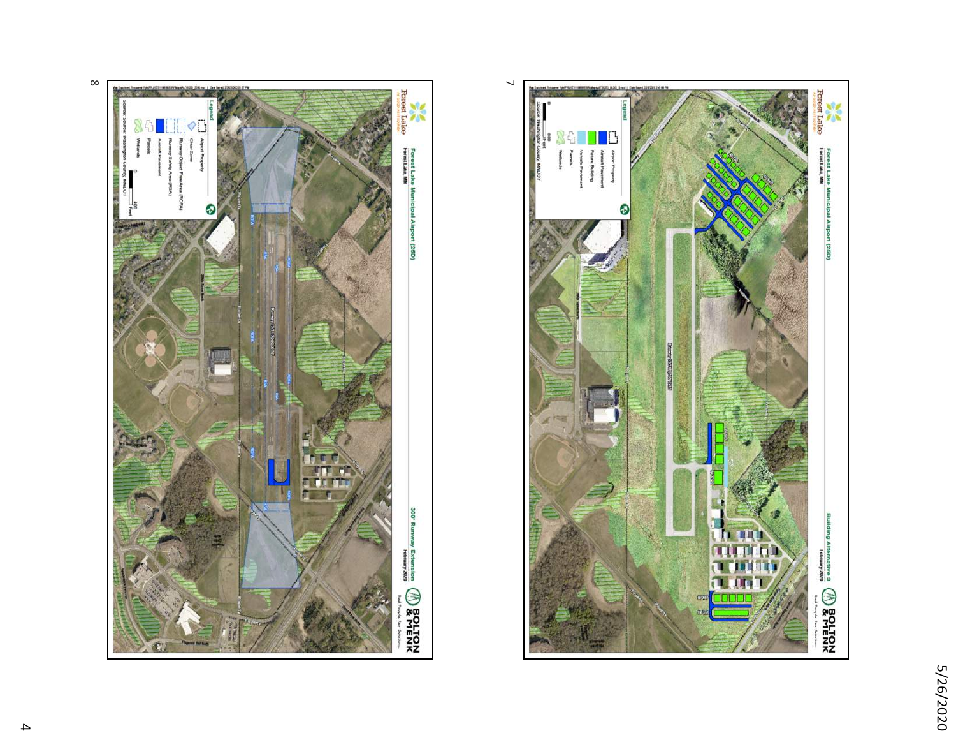



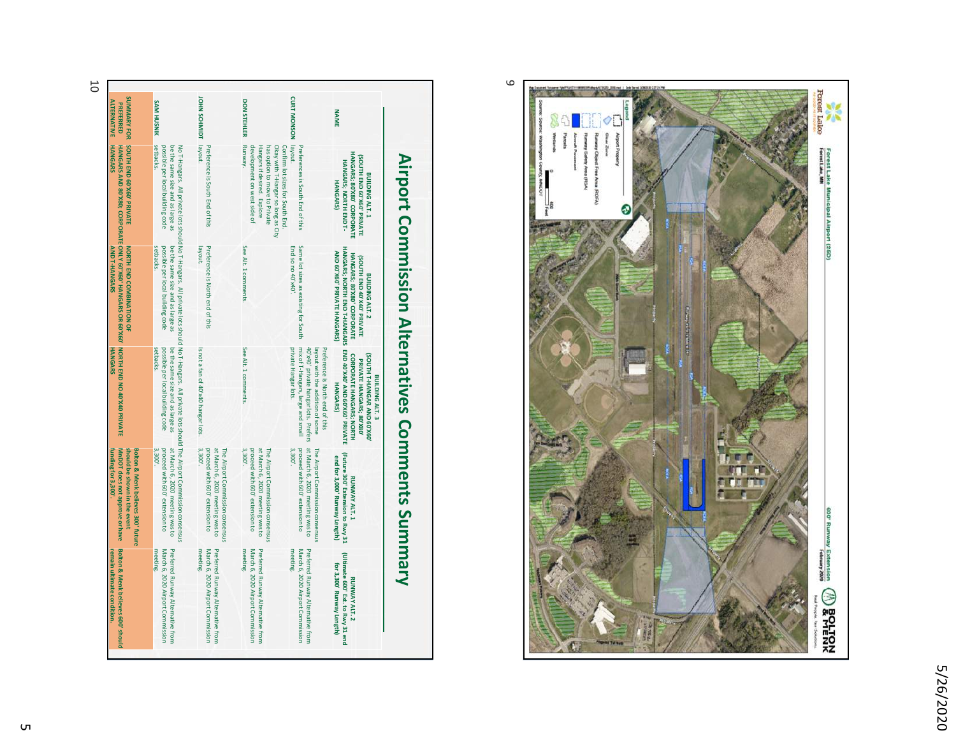5/26/2020 5/26/2020



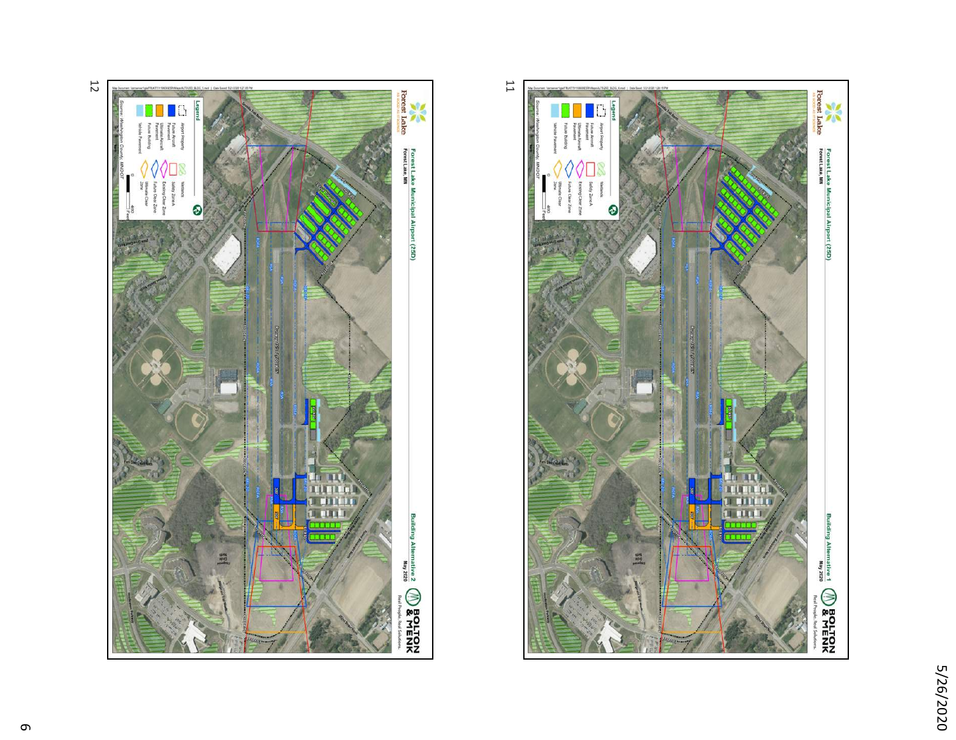





12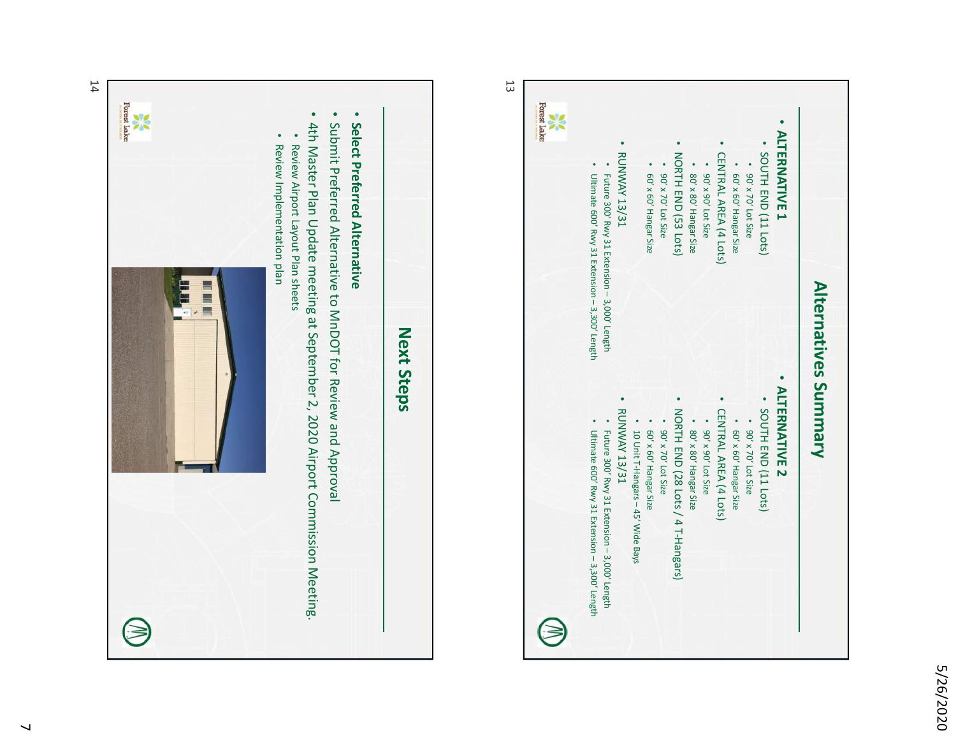